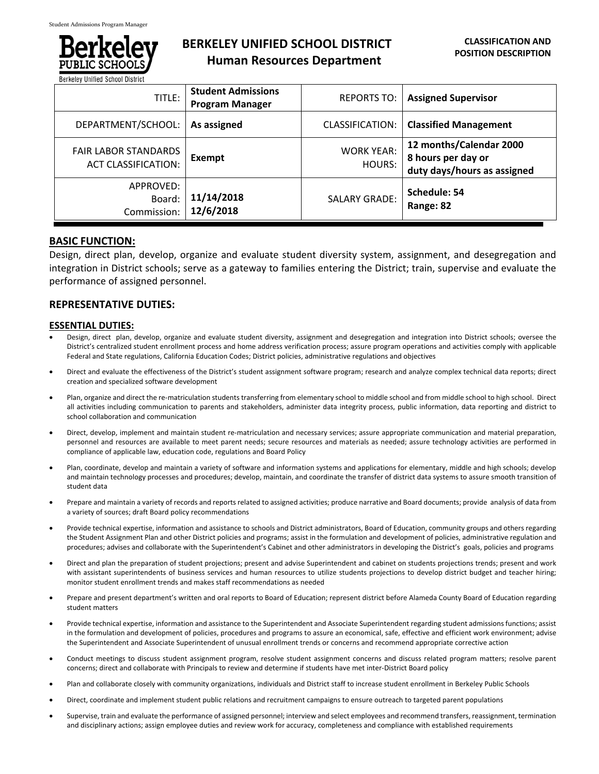

# **BERKELEY UNIFIED SCHOOL DISTRICT Human Resources Department**

| DELVEICA AILIIIEN APIIANI NISHIMI                         |                                                     |                             |                                                                              |
|-----------------------------------------------------------|-----------------------------------------------------|-----------------------------|------------------------------------------------------------------------------|
| TITLE:                                                    | <b>Student Admissions</b><br><b>Program Manager</b> | <b>REPORTS TO:</b>          | <b>Assigned Supervisor</b>                                                   |
| DEPARTMENT/SCHOOL:                                        | As assigned                                         | CLASSIFICATION:             | <b>Classified Management</b>                                                 |
| <b>FAIR LABOR STANDARDS</b><br><b>ACT CLASSIFICATION:</b> | Exempt                                              | <b>WORK YEAR:</b><br>HOURS: | 12 months/Calendar 2000<br>8 hours per day or<br>duty days/hours as assigned |
| APPROVED:<br>Board:<br>Commission:                        | 11/14/2018<br>12/6/2018                             | <b>SALARY GRADE:</b>        | Schedule: 54<br>Range: 82                                                    |

## **BASIC FUNCTION:**

Design, direct plan, develop, organize and evaluate student diversity system, assignment, and desegregation and integration in District schools; serve as a gateway to families entering the District; train, supervise and evaluate the performance of assigned personnel.

## **REPRESENTATIVE DUTIES:**

### **ESSENTIAL DUTIES:**

- Design, direct plan, develop, organize and evaluate student diversity, assignment and desegregation and integration into District schools; oversee the District's centralized student enrollment process and home address verification process; assure program operations and activities comply with applicable Federal and State regulations, California Education Codes; District policies, administrative regulations and objectives
- Direct and evaluate the effectiveness of the District's student assignment software program; research and analyze complex technical data reports; direct creation and specialized software development
- Plan, organize and direct the re-matriculation students transferring from elementary school to middle school and from middle school to high school. Direct all activities including communication to parents and stakeholders, administer data integrity process, public information, data reporting and district to school collaboration and communication
- Direct, develop, implement and maintain student re‐matriculation and necessary services; assure appropriate communication and material preparation, personnel and resources are available to meet parent needs; secure resources and materials as needed; assure technology activities are performed in compliance of applicable law, education code, regulations and Board Policy
- Plan, coordinate, develop and maintain a variety of software and information systems and applications for elementary, middle and high schools; develop and maintain technology processes and procedures; develop, maintain, and coordinate the transfer of district data systems to assure smooth transition of student data
- Prepare and maintain a variety of records and reports related to assigned activities; produce narrative and Board documents; provide analysis of data from a variety of sources; draft Board policy recommendations
- Provide technical expertise, information and assistance to schools and District administrators, Board of Education, community groups and others regarding the Student Assignment Plan and other District policies and programs; assist in the formulation and development of policies, administrative regulation and procedures; advises and collaborate with the Superintendent's Cabinet and other administrators in developing the District's goals, policies and programs
- Direct and plan the preparation of student projections; present and advise Superintendent and cabinet on students projections trends; present and work with assistant superintendents of business services and human resources to utilize students projections to develop district budget and teacher hiring; monitor student enrollment trends and makes staff recommendations as needed
- Prepare and present department's written and oral reports to Board of Education; represent district before Alameda County Board of Education regarding student matters
- Provide technical expertise, information and assistance to the Superintendent and Associate Superintendent regarding student admissions functions; assist in the formulation and development of policies, procedures and programs to assure an economical, safe, effective and efficient work environment; advise the Superintendent and Associate Superintendent of unusual enrollment trends or concerns and recommend appropriate corrective action
- Conduct meetings to discuss student assignment program, resolve student assignment concerns and discuss related program matters; resolve parent concerns; direct and collaborate with Principals to review and determine if students have met inter‐District Board policy
- Plan and collaborate closely with community organizations, individuals and District staff to increase student enrollment in Berkeley Public Schools
- Direct, coordinate and implement student public relations and recruitment campaigns to ensure outreach to targeted parent populations
- Supervise, train and evaluate the performance of assigned personnel; interview and select employees and recommend transfers, reassignment, termination and disciplinary actions; assign employee duties and review work for accuracy, completeness and compliance with established requirements